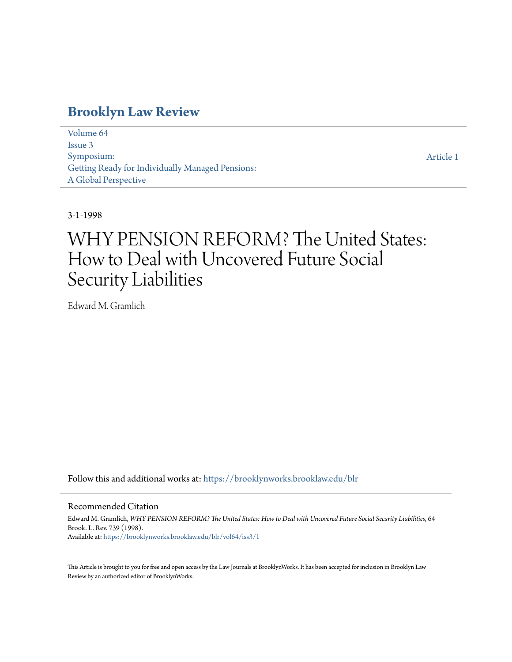### **[Brooklyn Law Review](https://brooklynworks.brooklaw.edu/blr?utm_source=brooklynworks.brooklaw.edu%2Fblr%2Fvol64%2Fiss3%2F1&utm_medium=PDF&utm_campaign=PDFCoverPages)**

[Volume 64](https://brooklynworks.brooklaw.edu/blr/vol64?utm_source=brooklynworks.brooklaw.edu%2Fblr%2Fvol64%2Fiss3%2F1&utm_medium=PDF&utm_campaign=PDFCoverPages) [Issue 3](https://brooklynworks.brooklaw.edu/blr/vol64/iss3?utm_source=brooklynworks.brooklaw.edu%2Fblr%2Fvol64%2Fiss3%2F1&utm_medium=PDF&utm_campaign=PDFCoverPages) Symposium: Getting Ready for Individually Managed Pensions: A Global Perspective

[Article 1](https://brooklynworks.brooklaw.edu/blr/vol64/iss3/1?utm_source=brooklynworks.brooklaw.edu%2Fblr%2Fvol64%2Fiss3%2F1&utm_medium=PDF&utm_campaign=PDFCoverPages)

### 3-1-1998

## WHY PENSION REFORM? The United States: How to Deal with Uncovered Future Social Security Liabilities

Edward M. Gramlich

Follow this and additional works at: [https://brooklynworks.brooklaw.edu/blr](https://brooklynworks.brooklaw.edu/blr?utm_source=brooklynworks.brooklaw.edu%2Fblr%2Fvol64%2Fiss3%2F1&utm_medium=PDF&utm_campaign=PDFCoverPages)

### Recommended Citation

Edward M. Gramlich, *WHY PENSION REFORM? The United States: How to Deal with Uncovered Future Social Security Liabilities*, 64 Brook. L. Rev. 739 (1998). Available at: [https://brooklynworks.brooklaw.edu/blr/vol64/iss3/1](https://brooklynworks.brooklaw.edu/blr/vol64/iss3/1?utm_source=brooklynworks.brooklaw.edu%2Fblr%2Fvol64%2Fiss3%2F1&utm_medium=PDF&utm_campaign=PDFCoverPages)

This Article is brought to you for free and open access by the Law Journals at BrooklynWorks. It has been accepted for inclusion in Brooklyn Law Review by an authorized editor of BrooklynWorks.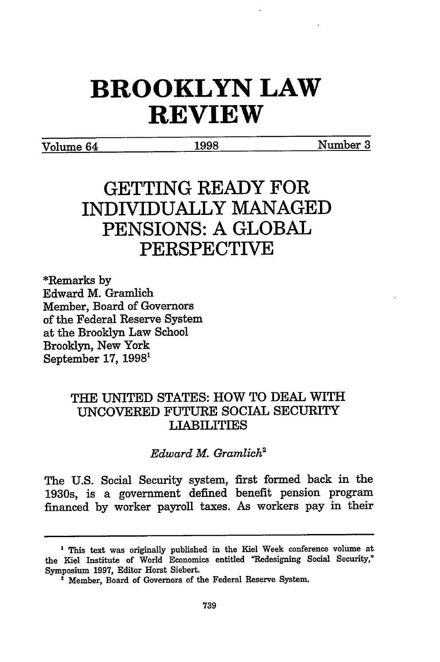# **BROOKLYN LAW REVIEW**

Volume 64 **1998** Number **3**

## **GETTING READY FOR INDIVIDUALLY MANAGED PENSIONS: A GLOBAL PERSPECTIVE**

\*Remarks **by** Edward M. Gramlich Member, Board of Governors of the Federal Reserve System at the Brooklyn Law School Brooklyn, New York September **17,** 1998'

### THE UNITED STATES: HOW TO DEAL WITH **UNCOVERED FUTURE** SOCIAL SECURITY LIABILITIES

*Edward M. Gramlich2*

The U.S. Social Security system, first formed back in the 1930s, is a government defined benefit pension program financed by worker payroll taxes. As workers pay in their

<sup>&</sup>lt;sup>1</sup> This text was originally published in the Kiel Week conference volume at the **Kiel** Institute of World Economics entitled "Redesigning Social Security," Symposium **1997,** Editor Horst Siebert.

**<sup>&#</sup>x27;** Member, Board of Governors of the Federal Reserve System.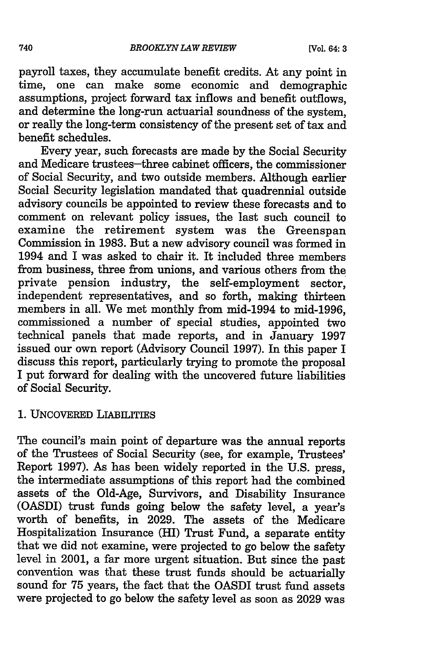payroll taxes, they accumulate benefit credits. At any point in time, one can make some economic and demographic assumptions, project forward tax inflows and benefit outflows, and determine the long-run actuarial soundness of the system, or really the long-term consistency of the present set of tax and benefit schedules.

Every year, such forecasts are made by the Social Security and Medicare trustees-three cabinet officers, the commissioner of Social Security, and two outside members. Although earlier Social Security legislation mandated that quadrennial outside advisory councils be appointed to review these forecasts and to comment on relevant policy issues, the last such council to examine the retirement system was the Greenspan Commission in 1983. But a new advisory council was formed in 1994 and I was asked to chair it. It included three members from business, three from unions, and various others from the private pension industry, the self-employment sector, independent representatives, and so forth, making thirteen members in all. We met monthly from mid-1994 to mid-1996, commissioned a number of special studies, appointed two technical panels that made reports, and in January 1997 issued our own report (Advisory Council 1997). In this paper I discuss this report, particularly trying to promote the proposal I put forward for dealing with the uncovered future liabilities of Social Security.

**1.** UNCOVERED LIABILrrIEs

The council's main point of departure was the annual reports of the Trustees of Social Security (see, for example, Trustees Report **1997).** As has been widely reported in the **U.S.** press, the intermediate assumptions of this report had the combined assets of the Old-Age, Survivors, and Disability Insurance (OASDI) trust funds going below the safety level, a year's worth of benefits, in 2029. The assets of the Medicare Hospitalization Insurance (HI) Trust Fund, a separate entity that we did not examine, were projected to go below the safety level in 2001, a far more urgent situation. But since the past convention was that these trust funds should be actuarially sound for 75 years, the fact that the OASDI trust fund assets were projected to go below the safety level as soon as 2029 was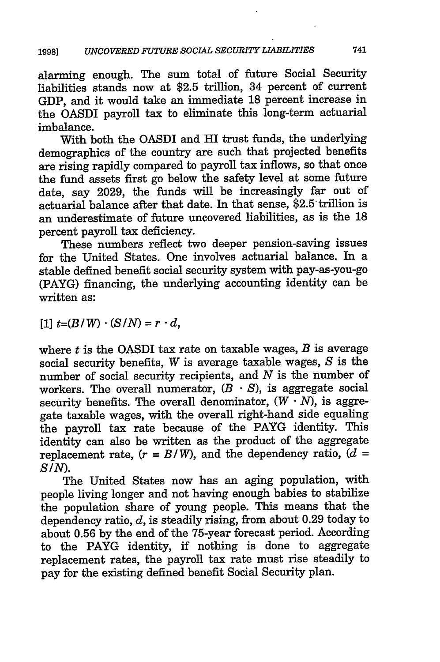alarming enough. The sum total of future Social Security liabilities stands now at \$2.5 trillion, 34 percent of current GDP, and it would take an immediate 18 percent increase in the OASDI payroll tax to eliminate this long-term actuarial imbalance.

With both the OASDI and HI trust funds, the underlying demographics of the country are such that projected benefits are rising rapidly compared to payroll tax inflows, so that once the fund assets first go below the safety level at some future date, say 2029, the funds will be increasingly far out of actuarial balance after that date. In that sense, \$2.5 trillion is an underestimate of future uncovered liabilities, as is the 18 percent payroll tax deficiency.

These numbers reflect two deeper pension-saving issues for the United States. One involves actuarial balance. In a stable defined benefit social security system with pay-as-you-go (PAYG) financing, the underlying accounting identity can be written as:

 $[1]$   $t=(B/W) \cdot (S/N) = r \cdot d$ ,

where  $t$  is the OASDI tax rate on taxable wages,  $B$  is average social security benefits, *W* is average taxable wages, *S* is the number of social security recipients, and *N* is the number of workers. The overall numerator,  $(B \cdot S)$ , is aggregate social security benefits. The overall denominator,  $(W \cdot N)$ , is aggregate taxable wages, with the overall right-hand side equaling the payroll tax rate because of the PAYG identity. This identity can also be written as the product of the aggregate replacement rate,  $(r = B/W)$ , and the dependency ratio,  $(d =$ *SIN).*

The United States now has an aging population, with people living longer and not having enough babies to stabilize the population share of young people. This means that the dependency ratio, *d,* is steadily rising, from about 0.29 today to about 0.56 by the end of the 75-year forecast period. According to the PAYG identity, if nothing is done to aggregate replacement rates, the payroll tax rate must rise steadily to pay for the existing defined benefit Social Security plan.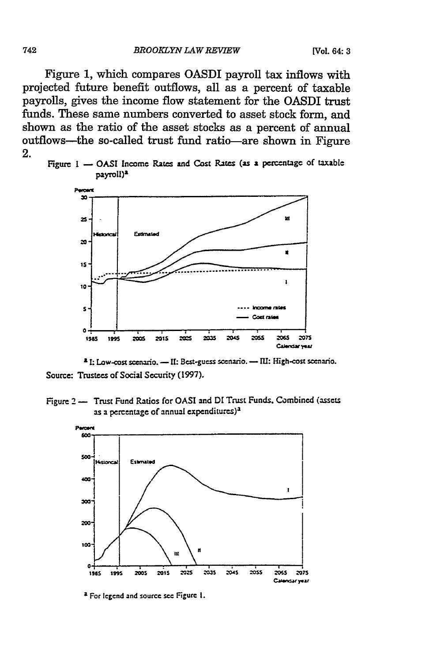Figure 1, which compares OASDI payroll tax inflows with projected future benefit outflows, all as a percent of taxable payrolls, gives the income flow statement for the OASDI trust funds. These same numbers converted to asset stock form, and shown as the ratio of the asset stocks as a percent of annual outflows---the so-called trust fund ratio--are shown in Figure 2.





<sup>2</sup> I: Low-cost scenario. - II: Best-guess scenario. - III: High-cost scenario. Source: Trustees of Social Security (1997).

Figure 2 - Trust Fund Ratios for OASI and DI Trust Funds, Combined (assets as a percentage of annual expenditures)<sup>a</sup>



<sup>&</sup>lt;sup>2</sup> For legend and source see Figure 1.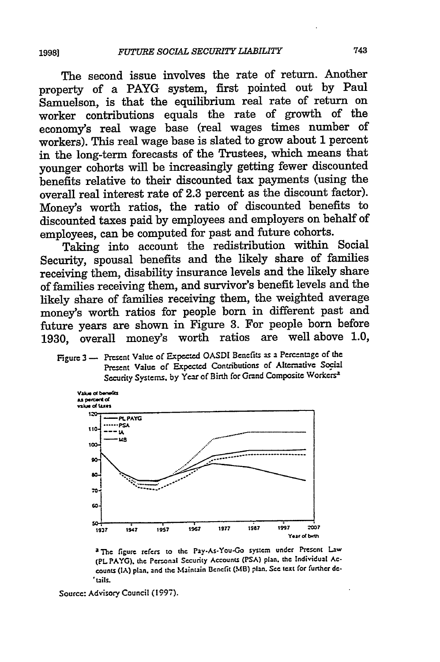The second issue involves the rate of return. Another property of a PAYG system, first pointed out by Paul Samuelson, is that the equilibrium real rate of return on worker contributions equals the rate of growth of the economy's real wage base (real wages times number of workers). This real wage base is slated to grow about 1 percent in the long-term forecasts of the Trustees, which means that younger cohorts will be increasingly getting fewer discounted benefits relative to their discounted tax payments (using the overall real interest rate of 2.3 percent as the discount factor). Money's worth ratios, the ratio of discounted benefits to discounted taxes paid by employees and employers on behalf of employees, can be computed for past and future cohorts.

Taking into account the redistribution within Social Security, spousal benefits and the likely share of families receiving them, disability insurance levels and the likely share of families receiving them, and survivor's benefit levels and the likely share of families receiving them, the weighted average money's worth ratios for people born in different past and future years are shown in Figure 3. For people born before 1930, overall money's worth ratios are well above 1.0.

Figure 3 - Present Value of Expected OASDI Benefits as a Percentage of the Present Value of Expected Contributions of Alternative Social Security Systems, by Year of Birth for Grand Composite Workers<sup>a</sup>



<sup>2</sup>The figure refers to the Pay-As-You-Go system under Present Law (PL PAYG), the Personal Security Accounts (PSA) plan, the Individual Accounts (IA) plan, and the Maintain Benefit (MB) plan. See text for further de-'tails.

Source: Advisory Council (1997).

19981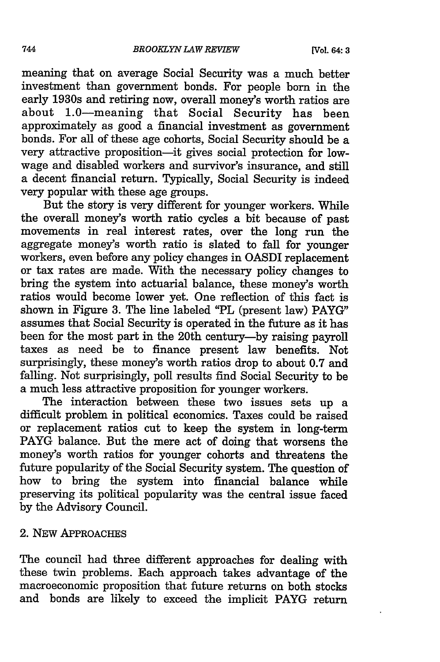meaning that on average Social Security was a much better investment than government bonds. For people born in the early 1930s and retiring now, overall money's worth ratios are about 1.0-meaning that Social Security has been approximately as good a financial investment as government bonds. For all of these age cohorts, Social Security should be a very attractive proposition-it gives social protection for lowwage and disabled workers and survivor's insurance, and still a decent financial return. Typically, Social Security is indeed very popular with these age groups.

But the story is very different for younger workers. While the overall money's worth ratio cycles a bit because of past movements in real interest rates, over the long run the aggregate money's worth ratio is slated to fall for younger workers, even before any policy changes in OASDI replacement or tax rates are made. With the necessary policy changes to bring the system into actuarial balance, these money's worth ratios would become lower yet. One reflection of this fact is shown in Figure 3. The line labeled "PL (present law) PAYG" assumes that Social Security is operated in the future as it has been for the most part in the 20th century-by raising payroll taxes as need be to finance present law benefits. Not surprisingly, these money's worth ratios drop to about 0.7 and falling. Not surprisingly, poll results find Social Security to be a much less attractive proposition for younger workers.

The interaction between these two issues sets up a difficult problem in political economics. Taxes could be raised or replacement ratios cut to keep the system in long-term PAYG balance. But the mere act of doing that worsens the money's worth ratios for younger cohorts and threatens the future popularity of the Social Security system. The question of how to bring the system into financial balance while preserving its political popularity was the central issue faced by the Advisory Council.

### 2. NEW APPROACHES

The council had three different approaches for dealing with these twin problems. Each approach takes advantage of the macroeconomic proposition that future returns on both stocks and bonds are likely to exceed the implicit PAYG return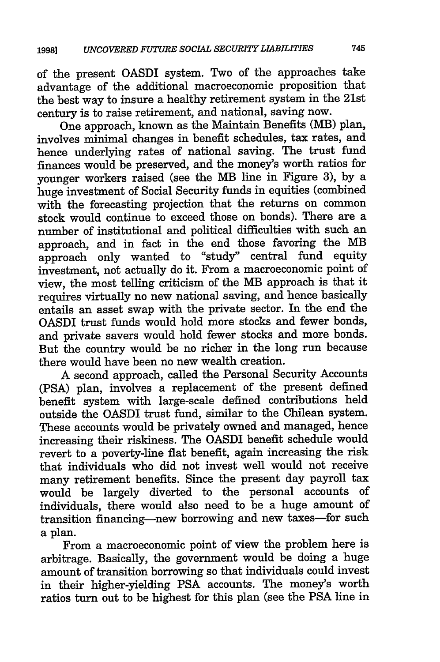of the present OASDI system. Two of the approaches take advantage of the additional macroeconomic proposition that the best way to insure a healthy retirement system in the 21st century is to raise retirement, and national, saving now.

One approach, known as the Maintain Benefits (MB) plan, involves minimal changes in benefit schedules, tax rates, and hence underlying rates of national saving. The trust fund finances would be preserved, and the money's worth ratios for younger workers raised (see the MB line in Figure 3), by a huge investment of Social Security funds in equities (combined with the forecasting projection that the returns on common stock would continue to exceed those on bonds). There are a number of institutional and political difficulties with such an approach, and in fact in the end those favoring the MB approach only wanted to "study" central fund equity investment, not actually do it. From a macroeconomic point of view, the most telling criticism of the MB approach is that it requires virtually no new national saving, and hence basically entails an asset swap with the private sector. In the end the OASDI trust funds would hold more stocks and fewer bonds, and private savers would hold fewer stocks and more bonds. But the country would be no richer in the long run because there would have been no new wealth creation.

A second approach, called the Personal Security Accounts (PSA) plan, involves a replacement of the present defined benefit system with large-scale defined contributions held outside the OASDI trust fund, similar to the Chilean system. These accounts would be privately owned and managed, hence increasing their riskiness. The OASDI benefit schedule would revert to a poverty-line flat benefit, again increasing the risk that individuals who did not invest well would not receive many retirement benefits. Since the present day payroll tax would be largely diverted to the personal accounts of individuals, there would also need to be a huge amount of transition financing-new borrowing and new taxes-for such a plan.

From a macroeconomic point of view the problem here is arbitrage. Basically, the government would be doing a huge amount of transition borrowing so that individuals could invest in their higher-yielding **PSA** accounts. The money's worth ratios turn out to be highest for this plan (see the **PSA** line in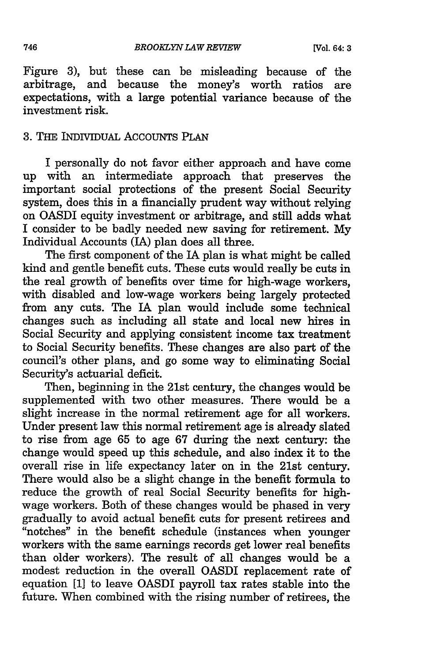Figure 3), but these can be misleading because of the arbitrage, and because the money's worth ratios are expectations, with a large potential variance because of the investment risk.

### 3. THE INDIVIDUAL AccouNTs PLAN

I personally do not favor either approach and have come up with an intermediate approach that preserves the important social protections of the present Social Security system, does this in a financially prudent way without relying on OASDI equity investment or arbitrage, and still adds what I consider to be badly needed new saving for retirement. My Individual Accounts (IA) plan does all three.

The first component of the IA plan is what might be called kind and gentle benefit cuts. These cuts would really be cuts in the real growth of benefits over time for high-wage workers, with disabled and low-wage workers being largely protected from any cuts. The IA plan would include some technical changes such as including all state and local new hires in Social Security and applying consistent income tax treatment to Social Security benefits. These changes are also part of the council's other plans, and go some way to eliminating Social Security's actuarial deficit.

Then, beginning in the 21st century, the changes would be supplemented with two other measures. There would be a slight increase in the normal retirement age for all workers. Under present law this normal retirement age is already slated to rise from age 65 to age 67 during the next century: the change would speed up this schedule, and also index it to the overall rise in life expectancy later on in the 21st century. There would also be a slight change in the benefit formula to reduce the growth of real Social Security benefits for highwage workers. Both of these changes would be phased in very gradually to avoid actual benefit cuts for present retirees and "notches" in the benefit schedule (instances when younger workers with the same earnings records get lower real benefits than older workers). The result of all changes would be a modest reduction in the overall OASDI replacement rate of equation [1] to leave OASDI payroll tax rates stable into the future. When combined with the rising number of retirees, the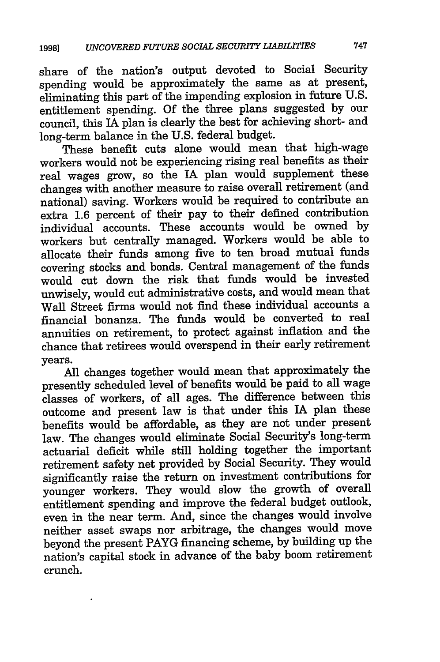share of the nation's output devoted to Social Security spending would be approximately the same as at present, eliminating this part of the impending explosion in future U.S. entitlement spending. Of the three plans suggested by our council, this IA plan is clearly the best for achieving short- and long-term balance in the U.S. federal budget.

These benefit cuts alone would mean that high-wage workers would not be experiencing rising real benefits as their real wages grow, so the IA plan would supplement these changes with another measure to raise overall retirement (and national) saving. Workers would be required to contribute an extra 1.6 percent of their pay to their defined contribution individual accounts. These accounts would be owned by workers but centrally managed. Workers would be able to allocate their funds among five to ten broad mutual funds covering stocks and bonds. Central management of the funds would cut down the risk that funds would be invested unwisely, would cut administrative costs, and would mean that Wall Street firms would not find these individual accounts a financial bonanza. The funds would be converted to real annuities on retirement, to protect against inflation and the chance that retirees would overspend in their early retirement years.

All changes together would mean that approximately the presently scheduled level of benefits would be paid to all wage classes of workers, of all ages. The difference between this outcome and present law is that under this IA plan these benefits would be affordable, as they are not under present law. The changes would eliminate Social Security's long-term actuarial deficit while still holding together the important retirement safety net provided by Social Security. They would significantly raise the return on investment contributions for younger workers. They would slow the growth of overall entitlement spending and improve the federal budget outlook, even in the near term. And, since the changes would involve neither asset swaps nor arbitrage, the changes would move beyond the present PAYG financing scheme, by building up the nation's capital stock in advance of the baby boom retirement crunch.